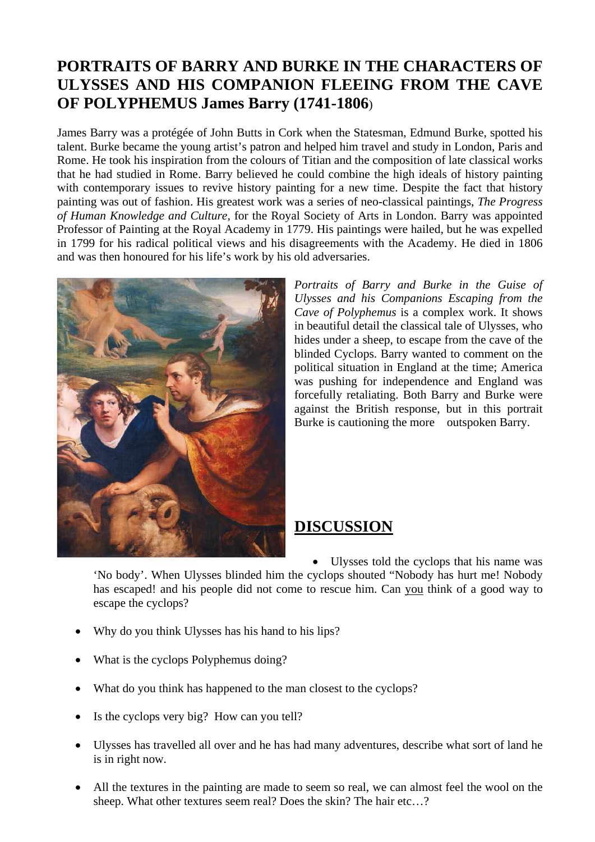## **PORTRAITS OF BARRY AND BURKE IN THE CHARACTERS OF ULYSSES AND HIS COMPANION FLEEING FROM THE CAVE OF POLYPHEMUS James Barry (1741-1806**)

James Barry was a protégée of John Butts in Cork when the Statesman, Edmund Burke, spotted his talent. Burke became the young artist's patron and helped him travel and study in London, Paris and Rome. He took his inspiration from the colours of Titian and the composition of late classical works that he had studied in Rome. Barry believed he could combine the high ideals of history painting with contemporary issues to revive history painting for a new time. Despite the fact that history painting was out of fashion. His greatest work was a series of neo-classical paintings, *The Progress of Human Knowledge and Culture,* for the Royal Society of Arts in London. Barry was appointed Professor of Painting at the Royal Academy in 1779. His paintings were hailed, but he was expelled in 1799 for his radical political views and his disagreements with the Academy. He died in 1806 and was then honoured for his life's work by his old adversaries.



*Portraits of Barry and Burke in the Guise of Ulysses and his Companions Escaping from the Cave of Polyphemus* is a complex work. It shows in beautiful detail the classical tale of Ulysses, who hides under a sheep, to escape from the cave of the blinded Cyclops. Barry wanted to comment on the political situation in England at the time; America was pushing for independence and England was forcefully retaliating. Both Barry and Burke were against the British response, but in this portrait Burke is cautioning the more outspoken Barry.

## **DISCUSSION**

• Ulysses told the cyclops that his name was 'No body'. When Ulysses blinded him the cyclops shouted "Nobody has hurt me! Nobody has escaped! and his people did not come to rescue him. Can you think of a good way to escape the cyclops?

- Why do you think Ulysses has his hand to his lips?
- What is the cyclops Polyphemus doing?
- What do you think has happened to the man closest to the cyclops?
- Is the cyclops very big? How can you tell?
- Ulysses has travelled all over and he has had many adventures, describe what sort of land he is in right now.
- All the textures in the painting are made to seem so real, we can almost feel the wool on the sheep. What other textures seem real? Does the skin? The hair etc…?